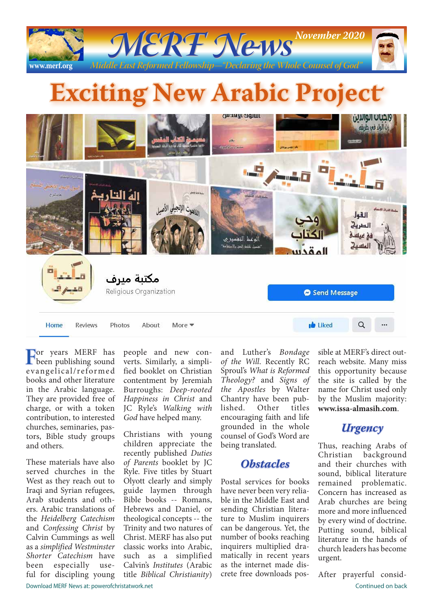

# **Exciting New Arabic Project**



**For years MERF** has been publishing sound e vangelica l/refor me d books and other literature in the Arabic language. They are provided free of charge, or with a token contribution, to interested churches, seminaries, pastors, Bible study groups and others.

These materials have also served churches in the West as they reach out to Iraqi and Syrian refugees, Arab students and others. Arabic translations of the *Heidelberg Catechism*  and *Confessing Christ* by Calvin Cummings as well as a *simplified Westminster Shorter Catechism* have been especially useful for discipling young

people and new converts. Similarly, a simplified booklet on Christian contentment by Jeremiah Burroughs: *Deep-rooted Happiness in Christ* and JC Ryle's *Walking with God* have helped many.

Christians with young children appreciate the recently published *Duties of Parents* booklet by JC Ryle. Five titles by Stuart Olyott clearly and simply guide laymen through Bible books -- Romans, Hebrews and Daniel, or theological concepts -- the Trinity and two natures of Christ. MERF has also put classic works into Arabic, such as a simplified Calvin's *Institutes* (Arabic title *Biblical Christianity*)

and Luther's *Bondage of the Will*. Recently RC Sproul's *What is Reformed Theology?* and *Signs of the Apostles* by Walter Chantry have been published. Other titles encouraging faith and life grounded in the whole counsel of God's Word are being translated.

# *Obstacles*

Postal services for books have never been very reliable in the Middle East and sending Christian literature to Muslim inquirers can be dangerous. Yet, the number of books reaching inquirers multiplied dramatically in recent years as the internet made discrete free downloads possible at MERF's direct outreach website. Many miss this opportunity because the site is called by the name for Christ used only by the Muslim majority: **www.issa-almasih.com**.

# *Urgency*

Thus, reaching Arabs of Christian background and their churches with sound, biblical literature remained problematic. Concern has increased as Arab churches are being more and more influenced by every wind of doctrine. Putting sound, biblical literature in the hands of church leaders has become urgent.

After prayerful consid-